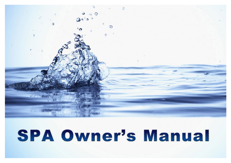

# **SPA Owner's Manual**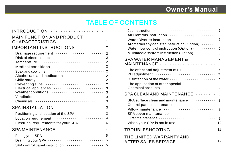# **TABLE OF CONTENTS**

| INTRODUCTION ---------------------                                                                                                                                                                     |
|--------------------------------------------------------------------------------------------------------------------------------------------------------------------------------------------------------|
| <b>MAIN FUNCTION AND PRODUCT</b><br>CHARACTERISTICS ------------------ 1                                                                                                                               |
| IMPORTANT INSTRUCTIONS ---------- 2                                                                                                                                                                    |
| Drainage requirement ----------------------- 2<br>Risk of electric shock ------------------------ 2<br>Temperature ------------------------------- 2                                                   |
| Medical conditions ---------------------- 2<br>Soak and cool time ----------------------------- 2                                                                                                      |
| Alcohol use and medication ------------------ 2<br>Child safety -------------------------------- 2                                                                                                     |
| Preventing slips ---------------------------- 2<br>Electrical appliances ----------------------- 3<br>Weather conditions ------------------------ 3<br>Ventilation --------------------------------- 3 |
| Chemicals ---------------------------------- 3                                                                                                                                                         |
| SPAINSTALLATION ------------------- 3                                                                                                                                                                  |
| Positioning and location of the SPA ------------- 3<br>Location requirement ------------------------ 4<br>Electrical requirements for your SPA ----------- 4                                           |
| SPA MAINTENANCE ----------------- 4                                                                                                                                                                    |
| Filling your SPA ---------------------------- 5<br>Draining your SPA --------------------------- 5<br>SPA control panel instruction ----------------- 5                                                |

| Jet instruction -------------------------------<br>- 5<br>Air Controls instruction ----------------------<br>6<br>Water Diverter instruction -------------------- 6<br>Aromatherapy canister instruction (Option) ------- 6<br>Water flow control instruction (Option) ---------- 6<br>Multimedia system instruction (Option) ---------- 6             |  |
|--------------------------------------------------------------------------------------------------------------------------------------------------------------------------------------------------------------------------------------------------------------------------------------------------------------------------------------------------------|--|
| SPA WATER MANAGEMENT &<br>7                                                                                                                                                                                                                                                                                                                            |  |
| The effect and adjustment of PH -------------- 7<br>------------------------------- 7<br>PH adjustment<br>Disinfection of the water ---------------------- 7<br>The application of other special<br>Chemical products --------------------------<br>8                                                                                                  |  |
| SPA CLEAN AND MAINTENANCE -------- 8<br>SPA surface clean and maintenance ------------ 8<br>Control panel maintenance ------------------ 9<br>Pillow maintenance ------------------------- 9<br>SPA cover maintenance -------------------- 9<br>Filter maintenance ----------------------------- 9<br>When your SPA is not in use ----------------- 10 |  |
| TROUBLESHOOTING                                                                                                                                                                                                                                                                                                                                        |  |
| THE LIMITED WARRANTY AND<br>AFTER SALES SERVICE --------------12                                                                                                                                                                                                                                                                                       |  |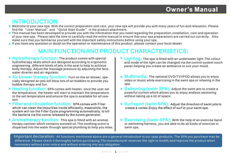## **INTRODUCTION**

- Welcome to your new spa. With the correct preparation and care, your new spa will provide you with many years of fun and relaxation. Please find the "User Manual" and "Quick Start Guide" in the product attachment.
- This manual has been developed to provide you with the information that you need regarding the preparation, installation, care and operation of your new spa. Please take the time to carefully read the entire manual to ensure that your spa preparations are carried out correctly. Also make sure that you familiarise yourself with the important safety instructions before using your spa.
- If you have any question or doubt on the operation or maintenance of this product, please contact your local dealer.

## **MAIN FUNCTION AND PRODUCT CHARACTERISTICS:**

- $\blacksquare$  Hydrotherapy function: The product comes with special hydrotherapy seats which are designed according to ergonomic engineering, different kinds of jets in the seat to help to achieve body therapy. Adjust the massage pressure by adjusting the face, water diverter and air regulator.
- Air blower therapy function: Turn on the air blower, specially designed air jets will blow lots of air bubbles to provide you bubble therapy and fun.
- **EXPA COMES EXPA COMES WITH HEATER IN HEATER FIG. 7 Heating function:** SPA comes with heater, once the user set the temperature, the heater will start to maintain the temperature to the set temperature and ensure the spa is available for all season.
- " Filter and circulation function: SPA comes with Filter which can clean the impurities inside efficiently, meanwhile, the system will run the Filter Cycle programming automatically, to kill the bacteria via the ozone released by the ozone generator.
- **Aromatherapy function:** This spa is fitted with an aromatherapy canister which contains scented oil.The soothing scent is dispersed into the water through special plumbing to help you relax.
- $Lightharpoonup$  The spa is fitted with an underwater light. The colour and mode of the light can be changed via the control system touch panel,helping you create an ambiance to suit your mood.
- Multimedia: The optional DVD/TV/IPOD allows you to enjoy video or music while exercising in the swim spa or relaxing in the spa.
- **Swimming (swim SPA):** Adjust the swim jets to create a powerful current which allows you to enjoy endless swimming without taking up a lot of space.
- **Surf sport (swim SPA):** Adjust the direction of swim jets to create a vortex. Enjoy the effect of surf in your swim spa.
- **Exercising (swim SPA):** With the help of an exercise band or swimming harness, you are able to do all kinds of exercise in swim spa.

Important declaration: All functions mentioned above are a general introduction to our spas products, The SPA you purchase may be difference. Please check it thoroughly before purchasing. The manufacturer reserves the right to modify and improve the product when necessary without prior notice and without entering into any obligation.

#### ----- 1 -----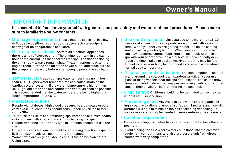## **IMPORTANT INFORMATION**

It is essential to familiarize yourself with general spa pool safety and water treatment procedures. Please make sure to familiarize below contents:

- Drainage requirement: Ensure that the spais not in a low or floodable position: as this could cause electrical equipment shortage or be dangerous to spa users.
- $\blacksquare$  Risk of electric shock: As with all electrical appliances there is a risk of electrocution. The engine room within the cabinet, houses the control unit that operates the spa. The door enclosing the unit should always remain shut. If water happens to enter the engine room, turn the spa off at the power outlet and make sure all the components are dry before attempting to power the spa back up.
- **F** Temperature: Keep your spa water temperature no higher than 40℃. Higher water temperatures can cause strain on the cardiovascular system. If the water temperature is higher than  $40^{\circ}\text{C}$ , get out of the spa and contact the dealer as soon as possible. It is recommended that the water temperature be no higher than body temperature i.e. 37.5 $\degree$ C.

#### ■ Medical conditions

- People with diabetes, high blood pressure, heart disease or other cardiovascular conditions should consult their physician before using a SPA.
- **•** To reduce the risk of contaminating spa water and minimize health risks, shower with soap and water prior to using the spa.
- **People with open sores or any type of infection should not use the** spa.
- Hot water is an ideal environment for spreading infection, especially if sanitizer levels are not properly maintained.
- Women who are pregnant should consult their physician before Using a spa.
- Soak and cool time: Limit spa use to no more than 15-20 minutes at a time. Some spa pools are equipped with a cooling seat. When you feel you are getting too hot, sit on the cooling seat and allow your body to cool. When you feel comfortable you may submerse yourself back into the spa pool. Sitting in the spa with your heart above the water level will dramatically decrease the time it takes to cool down. Hyperthermia may be fatal. Do not expose your body to prolonged exposure in water above normal body temperature.
- Alcohol use and medication: The consumption of alcohol in and around the spa pool is a hazardous practice. Never use glass drinking vessels near the spa pool. Alcohol can cause drowsiness and lead to drowning. Any person taking medication should consult their physician before entering the spa pool.
- Child safety: Children should not be permitted to use the spa without adult supervision.
- **Preventing slips:** Always take care when entering and exiting a spa due to slippery, uneven surfaces. Handrails and non-slip surfaces will help to minimize the risk of slipping and falling. In some cases steps may be needed to make entering the spa easier.

#### **ELocation requirement**

- Before installing, it is better to ask a professional to check the spa position.
- Avoid placing the SPA where water could flood into the electrical equipment compartment, and also protect the unit from direct contact with very damp areas.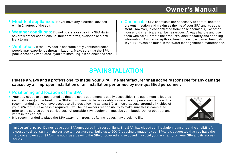- Electrical appliances: Never have any electrical devices within 2 meters of the spa.
- Weather conditions: Do not operate or soak in a SPA during severe weather conditions *i.e.* thunderstorms, cyclones or electrical storms.
- Ventilation: If the SPA pool is not sufficiently ventilated some people may experience throat irritations. Make sure that the SPA pool is properly ventilated if you are installing it in an enclosed area.
- Chemicals: SPA chemicals are necessary to control bacteria, prevent infection and maximize the life of your SPA and its equipment. However, in concentrated form these chemicals, like other household chemicals, can be hazardous. Always handle and use them with care.Refer to the product's label for safety and handling information. A more in-depth explanation on how to use chemicals in your SPA can be found in the Water management & maintenance.

## **SPA INSTALLATION**

Please always find a professional to install your SPA, The manufacturer shall not be responsible for any damage caused by an improper installation or an installation performed by non-qualified personnel.

#### • Positioning and location of the SPA

- Your spa needs to be positioned so that the spa's equipment is easily accessible. The equipment is located (in most cases) at the front of the SPA and will need to be accessible for service and power connection. It is recommended that you have access to all sides allowing at least 1/2 a metre access around all 4 sides of your SPA for future access if required. It will be the owners responsibility to make sure this is completed prior to the service being carried out. All portable SPA equipment must be ventilated. Do not obstruct any vents in the cabinet.
- 

It is recommended to place the SPA away from trees, as falling leaves may block the filter.

Important note: Do not leave your SPA uncovered in direct sunlight. The SPA has closed cell insulation foam under the shell.If left exposed to direct sunlight the surface temperature can build up to 200  $^{\circ}\textrm{C}$  causing damage to your SPA. It is suggested that you have the hard cover over your SPA while not in use.Leaving the SPA uncovered and exposed may void your warranty on your SPA and its accessories.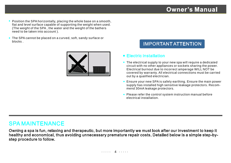- Position the SPA horizontally, placing the whole base on a smooth, flat and level surface capable of supporting the weight when used. (The weight of the SPA , the water and the weight of the bathers need to be taken into account ).
- **The SPA cannot be placed on a curved, soft, sandy surface or** blocks .



## **IMPORTANT ATTENTION**

#### ■ Electric installation

- The electrical supply to your new spa will require a dedicated circuit with no other appliances or sockets sharing the power. Electrical burnout due to incorrect amperage WILL NOT be covered by warranty. All electrical connections must be carried out by a qualified electrician.
- Ensure your new SPA is safely earthing. Ensure the main power supply has installed high sensitive leakage protectors. Recommend 30mA leakage protectors.
- Please refer the control system instruction manual before electrical installation.

## **SPA MAINTENANCE**

Owning a spa is fun, relaxing and therapeutic, but more importantly we must look after our investment to keep it healthy and economical, thus avoiding unnecessary premature repair costs. Detailed below is a simple step-bystep procedure to follow.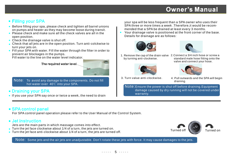# **Owner's Manual**

## **Eilling your SPA**

- Before filling your spa, please check and tighten all barrel unions on pumps and heater as they may become loose during transit.
- **Please check and make sure all the check valves are all in the** open position.
- Check the drainage valve is shut off.
- Check that all jets are in the open position. Turn anti-colckwise to turn your jets on.
- Fill your SPA with water. Fill the water through the filter in order to prevent air blockages in the pumps.

Fill water to the line on the water level indicator.

#### The required water level



Note: To avoid any damage to the components. Do not fill hot water over 40℃ into your SPA.

#### • Draining your SPA

**If you use your SPA say once or twice a week, the need to drain** 

#### • SPA control panel

For SPA control panel operation please refer to the User Manual of the Control System.

#### **Jet instruction**

Jets are the main parts in which massage comes into effect.

- Turn the jet face clockwise about 1/4 of a turn, the jets are turned on.
- **Turn the jet face anti-clockwise about 1/4 of a turn, the jets are turned off.**

your spa will be less frequent than a SPA owner who uses their SPA three or more times a week .Therefore,it would be recommended that a SPA be drained at least every 3 months.

Your drainage valve is positioned at the front corner of the base. Details for drainage are as follows:





1. Remove the cap of the drain valve 2.Connect a 3/4 inch hose or screw a by turning anti-clockwise.







3. Turn value anti-clockwise. 4. Pull outwards and the SPA will begin draining.

Note:Ensure the power is shut off before draining.Equipment damage caused by dry running will not be covered under warranty.



Note: Some jets and the air jets are unadjustable. Don't rotate these jets with force. It may cause damages to the jets.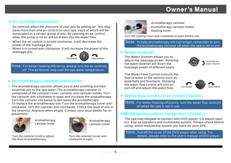#### Air controls instruction

Air controls affect the pressure of your jets by adding air. You may have more than one air control on your spa, each of which will be associated to a certain group of jets. By opening an air control when the pump is on air will be drawn into the water flow.

- When the air control is turned clockwise, it will decrease the power of the massage jets.
- When it is turned anti-clockwise, it will increase the power of the massage jets.



Note: For better heating efficiency, please turn the air controls off. The air blower may cool the spa water temperature.

#### • Aromatherapy canister instruction

- The aromatherapy canister allows you to add soothing scented essential oils to the spa water.The aromatherapy canister is composed of the canister cover, canister and canister holder.Turn the canister anti-clockwise to open and increase the aromatherapy. Turn the canister clockwise to decrease the aromatherapy.
- To replace the aromatherapy oils.Turn the aromatherapy cover anticlockwise, turn the canister anti-clockwise. Check the level of oils in the reservoir.Replace when empty. Contact your local dealer for replacement.



Aromatherapy canister knob

Turn the canister knob to adjust the level of aromatherapy.



Turn the canistert cover anticlockwise to open.



Aromatherapy canister Aromatherapy canister holder Sealing cover

Turn the sealing cover anti-colckwise to open before use.

Note: To help aromatherapy oils last longer, remember to turn the aromatherapy canister off when the spa is not in use.

#### ■ Water diverter

The Water Diverter allows you to adjust the massage power. Rotating the water diverter will divert the massage power of different seats.



The Water Flow Control controls the flow of water to the options,such as waterfalls and fountains. Rotating the water flow control will turn on, turn off and adjust the water flow.



## • Water flow control instruction (Option)

Note: For better heating efficiency, turn the water flow controls off when the spa is not in use.

#### • Multimedia system instruction (Option)

The spa may obligate to connect with DVD player, CD player,Ipod ect. Pop up speakers and multimedia system. Please check before using, which multimedia system you have for your SPA.

Note: Pull off the cover of the DVD player after using. For details, please refer to the user's manual of DVD player.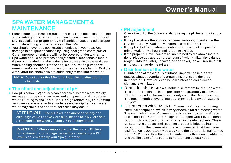## **SPA WATER MANAGEMENT & MAINTENANCE**

- Please note that these instructions are just a guide to maintain the spa's water quality. Before any actions, please consult your local SPA specialist for proper amount of sanitizer use, and take proper action depending on the capacity of the SPA.
- You should never use pool grade chemicals in your spa. Any damage to equipment caused by using pool grade chemicals or Other improper chemicals will not be covered under warranty.
- Spa water should be professionally tested at least once a month, it's recommended that the water is tested weekly by the end user. When adding chemicals to the spa, make sure the pumps are running and allow 20-30 minutes for the chemicals to mix. Test the water after the chemicals are sufficiently mixed into the water.

Note: Do not cover the SPA for at least 30min after adding chenicals.

#### • The effect and adjustment of pH

• Low pH (below 7.2) causes sanitizers to dissipate more rapidly, increases corrosion of surfaces and equipment, and may make water irritating to spa users. If pH is high (above 7.6) chlorinating sanitizers are less effective, surfaces and equipment can scale, water may cloud and shorter filters runs may occur.

ATTENTION! The pH level measures the acidity and alkalinity: Values above 7 are alkaline and below 7, are acid. A PH index of between 7.2 and 7.6 is recommended.

WARNING: Please make sure that the correct PH level is maintained, any damage caused by an inadequate PH level is not covered by your Spa guarantee.

#### • PH adjustment

- Check the pH of the Spa water daily using the pH tester. (not supplied)
- If the pH is above the above-mentioned indexes, do not enter the SPA temporarily. Wait for two hours and re-do the pH test.
- If the pH is below the above-mentioned indexes, let the pumps prime. Wait for two hours and re-do the pH test.
- If the proper pH level can not be maintained by the above instructions, please add appropriate amount of acidity-alkalinity balance reagent into the water, uncover the spa cover, leave it mix in for 20 minutes, then re-do the pH test;

#### • Disinfection of the water

Disinfection of the water is of utmost importance in order to destroy algae, bacteria and organisms that could develop in the water. However, excessive disinfection could cause skin and eye irritation.

- Bromide tablets: Are a suitable disinfectant for the Spa water. This product is placed in the pre-filter and gradually dissolves. Check the residual bromide level daily using the Br analyser set. The recommended level of residual bromide is between 2.2 and 3.3 ppm.
- Disinfection with OZONE: Ozone or O3, is and oxidizing chemical compound, which is very effective for disinfecting water. The main advantage of ozone is that it leaves no chemical trace and is odorless.Generally the spa is equipped with 1 ozone generator which produces ions from oxygen in the atmosphere. This is an automatic process and resulting product is injected into the water through the ozone jets. It is recommended that the ozone disinfection is operated twice a day and the duration is maintained within 1~2 hours, thus the ideal disinfection effect can be obtained and the life span of the ozone generator can be extended.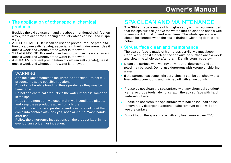# **Owner's Manual**

#### • The application of other special chemical **products**

Besides the pH adjustment and the above-mentioned disinfection ways, there are some cleaning products which can be used in spa water;

- ANTI-CALCAREOUS: it can be used to prevent/reduce precipitation of calcium salts (scale), especially in hard water areas. Use it once a week and whenever the water is renewed.
- SPAALGAECIDE: Prevent algae from growing in the water, use it once a week and whenever the water is renewed.
- ANTIFOAM: Prevent precipitation of calcium salts (scale), use it once a week and whenever the water is renewed.

#### WARNING!

Add the exact amounts to the water, as specified. Do not mix products, to avoid possible reactions.

Do not smoke while handling these products - they may be flammable.

Do not add chemical products to the water if there is someone in the spa.

Keep containers tightly closed in dry, well-ventilated places, and keep these products away from children.

Do not inhale chemical products, and take care not to let them come into contact with the eyes, nose or mouth. Wash hands after use.

Follow the emergency instructions on the product label in the event of an accident or ingestion.

## **SPACLEAN AND MAINTENANCE**

The SPA surface is made of high gloss acrylic. It is recommended that the spa surface (above the water line) be cleaned once a week to remove dirt build up and scum lines. The whole spa surface should be cleaned when the spa is drained.Cleaning details are below.

#### • SPA surface clean and maintenance

The spa surface is made of high-gloss acrylic, we must keep it clean, we suggest that clean the spa outside surface once a week and clean the whole spa after drain. Details steps as below:

- Clean the surface with wet towel. A neutral detergent and soft towel may be used. Do not use detergent with ketone or chlorine water.
- **If the surface has some light scratches, it can be polished with a** fine cutting compound and finished off with a fine polish.
- Please do not clean the spa surface with any chemical solution/ Kernel or crude tools; do not scratch the spa surface with hard material or knife.
- Please do not clean the spa surface with nail polish, nail polish remover, dry detergent, acetone, paint remover ect. It will damage the surface.
- Do not touch the spa surface with any heat source over 70℃.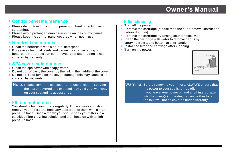#### • Control panel maintenance

- Please do not touch the control panel with hard objects to avoid scratching.
- Please avoid prolonged direct sunshine on the control panel.
- Please keep the control panel covered when not in use.

#### ■ Headrest mainerance

- Clean the headrests with a neutral detergent.
- Excessive chemical levels and ozone may cause fading of headrests.Headrests can be removed after use. Fading is not covered by warranty.

#### • SPA cover maintenance

- Clean the spa cover with soapy water.
- Do not pull of carry the cover by the link in the middle of the cover.
- Do not sit, lie or jump on the cover, damage this may cause is not covered by warranty.

Note: Please cover the spa cover after use or clean . Leaving the spa uncovered and exposed may void your warranty on your spa and its accessories.

#### $\blacksquare$  Filter maintenance

You should clean your filters regularly. Once a week you should remove your filters and hose any debris out of them with a high pressure hose. Once a month you should soak your filters in a cartridge filter cleaning solution and then hose off with a high pressure hose.

### **Filter cleaning**

- Turn off the power;
- Remove the cartridge (please read the filter removal instruction before dong so).
- Remove the cartridge by turning counter clockwise.
- Clean the cartridge with water to remove debris by spraying from top to bottom at a 45° angle.
- **Install the filter and cartridge after cleaning.**
- Turn on the power.



Warning: Before removing your filters, ALWAYS ensure that the power to your spa is turned off. If you leave your power on and anything is drawn into the pump(s) or heater, causing either to fail, the fault will not be covered under warranty.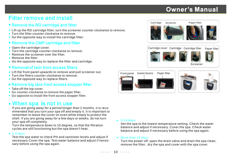# **Owner's Manual**

## **Filter remove and install**

#### **E** Remove the RD cartridge and filter

- Lift up the RD cartridge filter, turn the screener counter clockwise to remove.
- **Turn the filter counter clockwise to remove.**
- Go the opposite way to install the cartridge filter.

#### ■ Remove the CMP cartridge and filter

- Open the cartridge cover.
- **Turn the cartridge counter clockwise to remove.**
- Remove the screener over the filter.
- Remove the filter.
- Go the opposite way to replace the filter and cartridge.

#### " Removal of twin front access filters

- Lift the front panel upwards to remove and pull screener out.
- **Turn the filters counter clockwise to remove.**
- Go the opposite way to replace filters.

#### • Remove big size front access stopper filter

- Take off the top cover.
- Go counter-clockwise to remove the paper filter.
- Go opposite to install the front access stopper filter.

## • When spa is not in use

If you are going away for a period longer than 2 months, it is recommended that you turn your spa off and empty it. It is important to remember to leave the cover on even while empty to protect the shell. If you are going away for a few days or weeks, do not turn your spa off completely.

Turn the temperature down to 15 degree, so that the filtration cycles are still functioning but the spa doesn't heat.

#### $\bullet$  3-5 days

Test the spa water to check PH and sanitister levels and adjust if necessary.Cover the spa. Test water balance and adjust if necessary before using the spa again.







Paper filter

Screener



#### $-5-14$  days

Set the spa to the lowest temperature setting. Check the water balance and adjust if necessary. Cover the spa. Check water balance and adjust if necessary before using the spa again.

• More than 15 days

Turn the power off, open the drain valve and drain the spa clean, remove the filter, dry the spa and cover with the spa cover.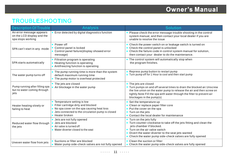## **TROUBLESHOOTING**

| <b>Description Of Trouble</b>                                               | Analysis                                                                                                                                                                           | <b>Solution</b>                                                                                                                                                                                                                                                               |
|-----------------------------------------------------------------------------|------------------------------------------------------------------------------------------------------------------------------------------------------------------------------------|-------------------------------------------------------------------------------------------------------------------------------------------------------------------------------------------------------------------------------------------------------------------------------|
| An error message appears<br>on the LCD display and the<br>spa stops working | Error detected by digital diagnostics function                                                                                                                                     | Please check the error message trouble shooting in the control<br>system manual, and then contact your local dealer if you are<br>unable to resolve the issue                                                                                                                 |
| SPA can't start in any mode                                                 | Power off<br>Control panel is locked<br>Control panel failure(display showed error<br>message)                                                                                     | Check the power switch on or leakage switch is turned on<br>Check the control panel is unlocked<br>Check the failure code in control system manual for solution,<br>then contact your dealer to do the maintenance.                                                           |
| SPA starts automatically                                                    | Filtration program is operating<br>Heating function is operating<br>Antifreezing function is operating                                                                             | • The control system will automatically stop when<br>the program finishes.                                                                                                                                                                                                    |
| The water pump turns off                                                    | The pump running time is more than the system<br>default maximum running time<br>The pump motor is overheat protected                                                              | Repress pump button to restart pump<br>• Turn pump off for 1 Hour to cool and then start pump                                                                                                                                                                                 |
| Pump running after filling spa<br>but no water coming through<br>jets       | The jets are closed<br>Air blockage in the water pump                                                                                                                              | The jets are closed<br>Turn pumps on and off several times to drain the blocked air. Unscrew<br>the live union on the water pump to release the air and then screw on<br>tightly. Note: Fill the spa with water through the filter to prevent air<br>blockages in the pump(s) |
| Heater heating slowly or<br>failing to heat                                 | Temperature setting is low<br>Filter cartridge dirty and blocked<br>No spa cover on the spa causing heat loss<br>Jets connected to the circulation pump is closed<br>Heater broken | Set the temperature up<br>Clean or replace paper filter core<br>Put the cover on the spa<br>• Turn on the jets<br>Contact the local dealer for maintenance                                                                                                                    |
| Reduced water flow through<br>the jets                                      | Jets are not fully opened<br>Jets are blocked<br>Air valve is turned off<br>Water diverter closed to the seat                                                                      | Turn on the jets fully<br>• Turn counter-clockwise to take off the jets fitting and clean the<br>jets chamber if blocked.<br>• Turn on the air valve switch<br>Divert the water diverter to the seat jets wanted<br>Check the water pump side-check valves are fully opened   |
| Uneven water flow from jets                                                 | Suctions or filter are blocked<br>• Water pump side-check valves are not fully opened                                                                                              | Clean the suction or filter<br>Check the water pump side-check valves are fully opened                                                                                                                                                                                        |